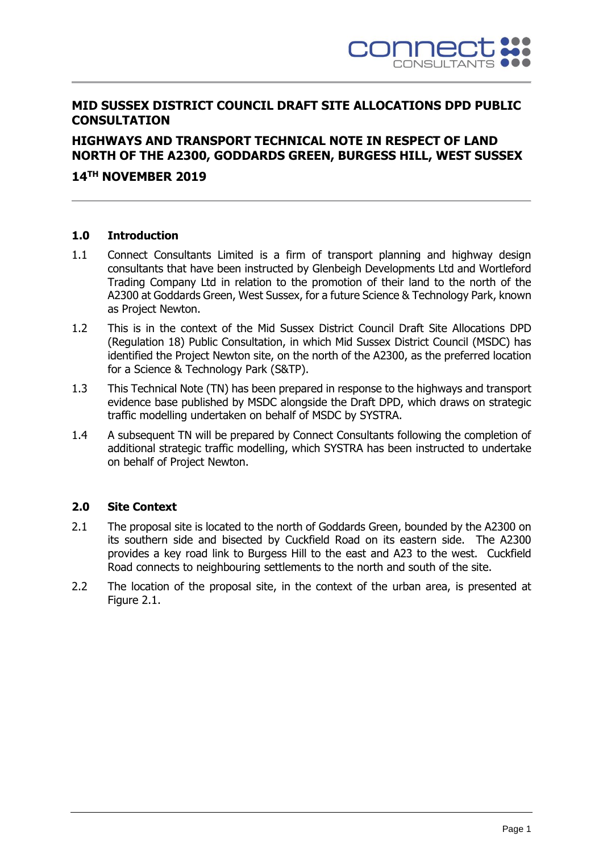

## **MID SUSSEX DISTRICT COUNCIL DRAFT SITE ALLOCATIONS DPD PUBLIC CONSULTATION**

# **HIGHWAYS AND TRANSPORT TECHNICAL NOTE IN RESPECT OF LAND NORTH OF THE A2300, GODDARDS GREEN, BURGESS HILL, WEST SUSSEX**

### **14 TH NOVEMBER 2019**

#### **1.0 Introduction**

- 1.1 Connect Consultants Limited is a firm of transport planning and highway design consultants that have been instructed by Glenbeigh Developments Ltd and Wortleford Trading Company Ltd in relation to the promotion of their land to the north of the A2300 at Goddards Green, West Sussex, for a future Science & Technology Park, known as Project Newton.
- 1.2 This is in the context of the Mid Sussex District Council Draft Site Allocations DPD (Regulation 18) Public Consultation, in which Mid Sussex District Council (MSDC) has identified the Project Newton site, on the north of the A2300, as the preferred location for a Science & Technology Park (S&TP).
- 1.3 This Technical Note (TN) has been prepared in response to the highways and transport evidence base published by MSDC alongside the Draft DPD, which draws on strategic traffic modelling undertaken on behalf of MSDC by SYSTRA.
- 1.4 A subsequent TN will be prepared by Connect Consultants following the completion of additional strategic traffic modelling, which SYSTRA has been instructed to undertake on behalf of Project Newton.

#### **2.0 Site Context**

- 2.1 The proposal site is located to the north of Goddards Green, bounded by the A2300 on its southern side and bisected by Cuckfield Road on its eastern side. The A2300 provides a key road link to Burgess Hill to the east and A23 to the west. Cuckfield Road connects to neighbouring settlements to the north and south of the site.
- 2.2 The location of the proposal site, in the context of the urban area, is presented at Figure 2.1.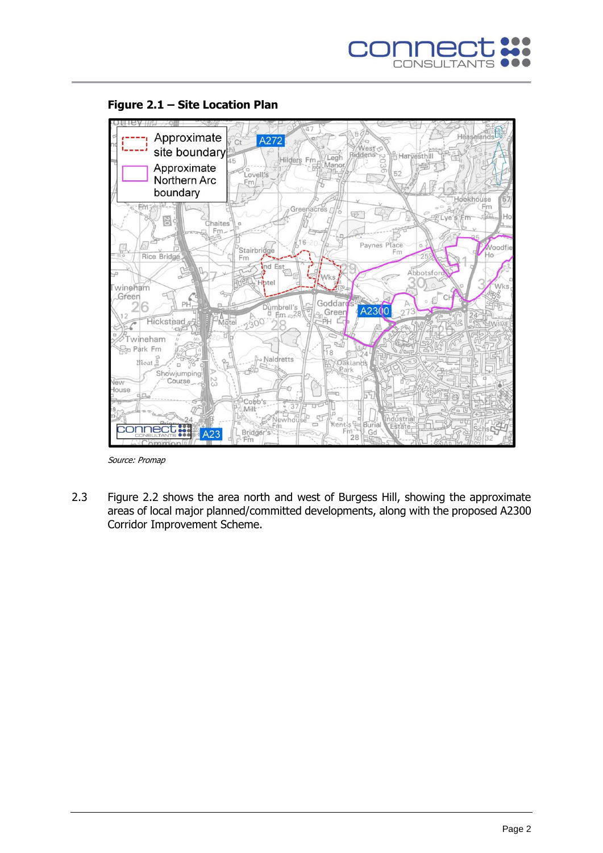





2.3 Figure 2.2 shows the area north and west of Burgess Hill, showing the approximate areas of local major planned/committed developments, along with the proposed A2300 Corridor Improvement Scheme.

Source: Promap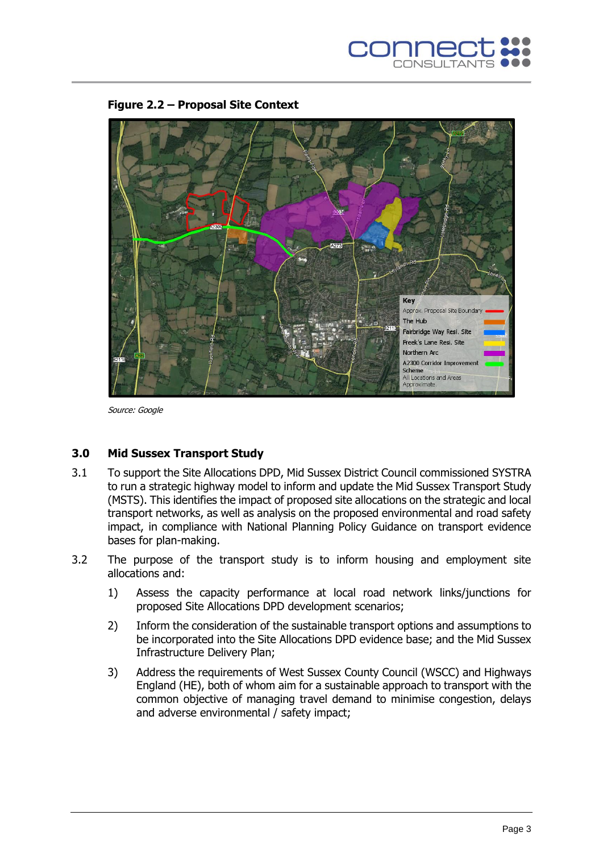



**Figure 2.2 – Proposal Site Context**

Source: Google

### **3.0 Mid Sussex Transport Study**

- 3.1 To support the Site Allocations DPD, Mid Sussex District Council commissioned SYSTRA to run a strategic highway model to inform and update the Mid Sussex Transport Study (MSTS). This identifies the impact of proposed site allocations on the strategic and local transport networks, as well as analysis on the proposed environmental and road safety impact, in compliance with National Planning Policy Guidance on transport evidence bases for plan-making.
- 3.2 The purpose of the transport study is to inform housing and employment site allocations and:
	- 1) Assess the capacity performance at local road network links/junctions for proposed Site Allocations DPD development scenarios;
	- 2) Inform the consideration of the sustainable transport options and assumptions to be incorporated into the Site Allocations DPD evidence base; and the Mid Sussex Infrastructure Delivery Plan;
	- 3) Address the requirements of West Sussex County Council (WSCC) and Highways England (HE), both of whom aim for a sustainable approach to transport with the common objective of managing travel demand to minimise congestion, delays and adverse environmental / safety impact;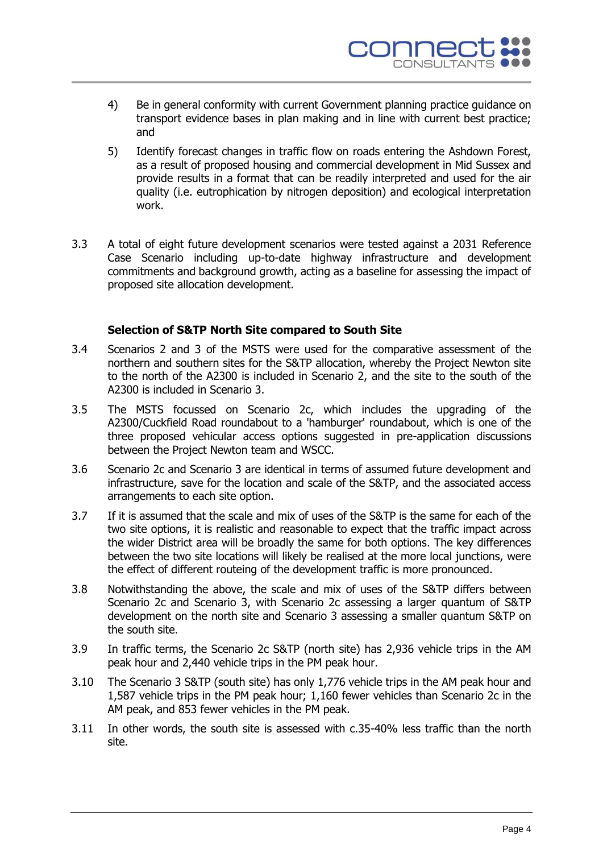

- 4) Be in general conformity with current Government planning practice guidance on transport evidence bases in plan making and in line with current best practice; and
- 5) Identify forecast changes in traffic flow on roads entering the Ashdown Forest, as a result of proposed housing and commercial development in Mid Sussex and provide results in a format that can be readily interpreted and used for the air quality (i.e. eutrophication by nitrogen deposition) and ecological interpretation work.
- 3.3 A total of eight future development scenarios were tested against a 2031 Reference Case Scenario including up-to-date highway infrastructure and development commitments and background growth, acting as a baseline for assessing the impact of proposed site allocation development.

#### **Selection of S&TP North Site compared to South Site**

- 3.4 Scenarios 2 and 3 of the MSTS were used for the comparative assessment of the northern and southern sites for the S&TP allocation, whereby the Project Newton site to the north of the A2300 is included in Scenario 2, and the site to the south of the A2300 is included in Scenario 3.
- 3.5 The MSTS focussed on Scenario 2c, which includes the upgrading of the A2300/Cuckfield Road roundabout to a 'hamburger' roundabout, which is one of the three proposed vehicular access options suggested in pre-application discussions between the Project Newton team and WSCC.
- 3.6 Scenario 2c and Scenario 3 are identical in terms of assumed future development and infrastructure, save for the location and scale of the S&TP, and the associated access arrangements to each site option.
- 3.7 If it is assumed that the scale and mix of uses of the S&TP is the same for each of the two site options, it is realistic and reasonable to expect that the traffic impact across the wider District area will be broadly the same for both options. The key differences between the two site locations will likely be realised at the more local junctions, were the effect of different routeing of the development traffic is more pronounced.
- 3.8 Notwithstanding the above, the scale and mix of uses of the S&TP differs between Scenario 2c and Scenario 3, with Scenario 2c assessing a larger quantum of S&TP development on the north site and Scenario 3 assessing a smaller quantum S&TP on the south site.
- 3.9 In traffic terms, the Scenario 2c S&TP (north site) has 2,936 vehicle trips in the AM peak hour and 2,440 vehicle trips in the PM peak hour.
- 3.10 The Scenario 3 S&TP (south site) has only 1,776 vehicle trips in the AM peak hour and 1,587 vehicle trips in the PM peak hour; 1,160 fewer vehicles than Scenario 2c in the AM peak, and 853 fewer vehicles in the PM peak.
- 3.11 In other words, the south site is assessed with c.35-40% less traffic than the north site.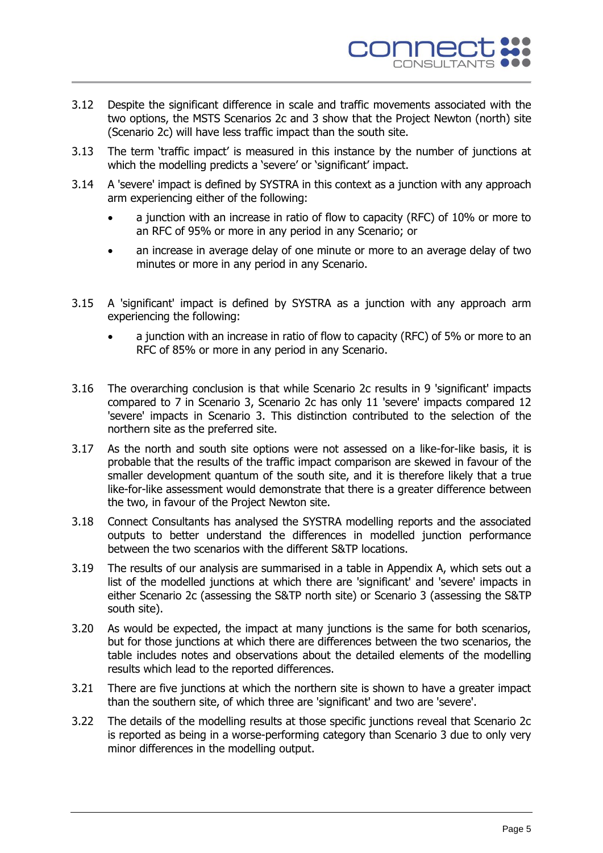

- 3.12 Despite the significant difference in scale and traffic movements associated with the two options, the MSTS Scenarios 2c and 3 show that the Project Newton (north) site (Scenario 2c) will have less traffic impact than the south site.
- 3.13 The term 'traffic impact' is measured in this instance by the number of junctions at which the modelling predicts a 'severe' or 'significant' impact.
- 3.14 A 'severe' impact is defined by SYSTRA in this context as a junction with any approach arm experiencing either of the following:
	- a junction with an increase in ratio of flow to capacity (RFC) of 10% or more to an RFC of 95% or more in any period in any Scenario; or
	- an increase in average delay of one minute or more to an average delay of two minutes or more in any period in any Scenario.
- 3.15 A 'significant' impact is defined by SYSTRA as a junction with any approach arm experiencing the following:
	- a junction with an increase in ratio of flow to capacity (RFC) of 5% or more to an RFC of 85% or more in any period in any Scenario.
- 3.16 The overarching conclusion is that while Scenario 2c results in 9 'significant' impacts compared to 7 in Scenario 3, Scenario 2c has only 11 'severe' impacts compared 12 'severe' impacts in Scenario 3. This distinction contributed to the selection of the northern site as the preferred site.
- 3.17 As the north and south site options were not assessed on a like-for-like basis, it is probable that the results of the traffic impact comparison are skewed in favour of the smaller development quantum of the south site, and it is therefore likely that a true like-for-like assessment would demonstrate that there is a greater difference between the two, in favour of the Project Newton site.
- 3.18 Connect Consultants has analysed the SYSTRA modelling reports and the associated outputs to better understand the differences in modelled junction performance between the two scenarios with the different S&TP locations.
- 3.19 The results of our analysis are summarised in a table in Appendix A, which sets out a list of the modelled junctions at which there are 'significant' and 'severe' impacts in either Scenario 2c (assessing the S&TP north site) or Scenario 3 (assessing the S&TP south site).
- 3.20 As would be expected, the impact at many junctions is the same for both scenarios, but for those junctions at which there are differences between the two scenarios, the table includes notes and observations about the detailed elements of the modelling results which lead to the reported differences.
- 3.21 There are five junctions at which the northern site is shown to have a greater impact than the southern site, of which three are 'significant' and two are 'severe'.
- 3.22 The details of the modelling results at those specific junctions reveal that Scenario 2c is reported as being in a worse-performing category than Scenario 3 due to only very minor differences in the modelling output.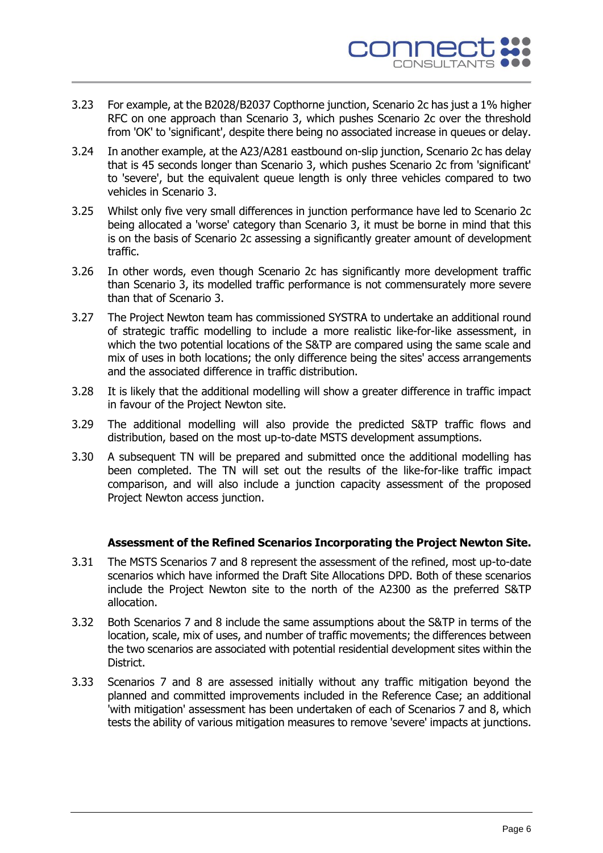

- 3.23 For example, at the B2028/B2037 Copthorne junction, Scenario 2c has just a 1% higher RFC on one approach than Scenario 3, which pushes Scenario 2c over the threshold from 'OK' to 'significant', despite there being no associated increase in queues or delay.
- 3.24 In another example, at the A23/A281 eastbound on-slip junction, Scenario 2c has delay that is 45 seconds longer than Scenario 3, which pushes Scenario 2c from 'significant' to 'severe', but the equivalent queue length is only three vehicles compared to two vehicles in Scenario 3.
- 3.25 Whilst only five very small differences in junction performance have led to Scenario 2c being allocated a 'worse' category than Scenario 3, it must be borne in mind that this is on the basis of Scenario 2c assessing a significantly greater amount of development traffic.
- 3.26 In other words, even though Scenario 2c has significantly more development traffic than Scenario 3, its modelled traffic performance is not commensurately more severe than that of Scenario 3.
- 3.27 The Project Newton team has commissioned SYSTRA to undertake an additional round of strategic traffic modelling to include a more realistic like-for-like assessment, in which the two potential locations of the S&TP are compared using the same scale and mix of uses in both locations; the only difference being the sites' access arrangements and the associated difference in traffic distribution.
- 3.28 It is likely that the additional modelling will show a greater difference in traffic impact in favour of the Project Newton site.
- 3.29 The additional modelling will also provide the predicted S&TP traffic flows and distribution, based on the most up-to-date MSTS development assumptions.
- 3.30 A subsequent TN will be prepared and submitted once the additional modelling has been completed. The TN will set out the results of the like-for-like traffic impact comparison, and will also include a junction capacity assessment of the proposed Project Newton access junction.

#### **Assessment of the Refined Scenarios Incorporating the Project Newton Site.**

- 3.31 The MSTS Scenarios 7 and 8 represent the assessment of the refined, most up-to-date scenarios which have informed the Draft Site Allocations DPD. Both of these scenarios include the Project Newton site to the north of the A2300 as the preferred S&TP allocation.
- 3.32 Both Scenarios 7 and 8 include the same assumptions about the S&TP in terms of the location, scale, mix of uses, and number of traffic movements; the differences between the two scenarios are associated with potential residential development sites within the District.
- 3.33 Scenarios 7 and 8 are assessed initially without any traffic mitigation beyond the planned and committed improvements included in the Reference Case; an additional 'with mitigation' assessment has been undertaken of each of Scenarios 7 and 8, which tests the ability of various mitigation measures to remove 'severe' impacts at junctions.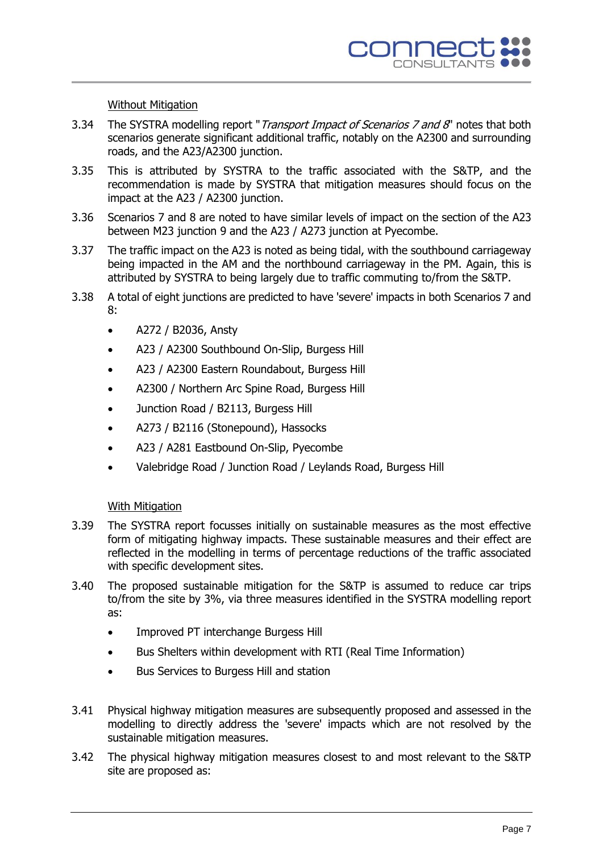#### Without Mitigation

- 3.34 The SYSTRA modelling report "Transport Impact of Scenarios 7 and 8" notes that both scenarios generate significant additional traffic, notably on the A2300 and surrounding roads, and the A23/A2300 junction.
- 3.35 This is attributed by SYSTRA to the traffic associated with the S&TP, and the recommendation is made by SYSTRA that mitigation measures should focus on the impact at the A23 / A2300 junction.
- 3.36 Scenarios 7 and 8 are noted to have similar levels of impact on the section of the A23 between M23 junction 9 and the A23 / A273 junction at Pyecombe.
- 3.37 The traffic impact on the A23 is noted as being tidal, with the southbound carriageway being impacted in the AM and the northbound carriageway in the PM. Again, this is attributed by SYSTRA to being largely due to traffic commuting to/from the S&TP.
- 3.38 A total of eight junctions are predicted to have 'severe' impacts in both Scenarios 7 and 8:
	- A272 / B2036, Ansty
	- A23 / A2300 Southbound On-Slip, Burgess Hill
	- A23 / A2300 Eastern Roundabout, Burgess Hill
	- A2300 / Northern Arc Spine Road, Burgess Hill
	- Junction Road / B2113, Burgess Hill
	- A273 / B2116 (Stonepound), Hassocks
	- A23 / A281 Eastbound On-Slip, Pyecombe
	- Valebridge Road / Junction Road / Leylands Road, Burgess Hill

#### With Mitigation

- 3.39 The SYSTRA report focusses initially on sustainable measures as the most effective form of mitigating highway impacts. These sustainable measures and their effect are reflected in the modelling in terms of percentage reductions of the traffic associated with specific development sites.
- 3.40 The proposed sustainable mitigation for the S&TP is assumed to reduce car trips to/from the site by 3%, via three measures identified in the SYSTRA modelling report as:
	- Improved PT interchange Burgess Hill
	- Bus Shelters within development with RTI (Real Time Information)
	- Bus Services to Burgess Hill and station
- 3.41 Physical highway mitigation measures are subsequently proposed and assessed in the modelling to directly address the 'severe' impacts which are not resolved by the sustainable mitigation measures.
- 3.42 The physical highway mitigation measures closest to and most relevant to the S&TP site are proposed as: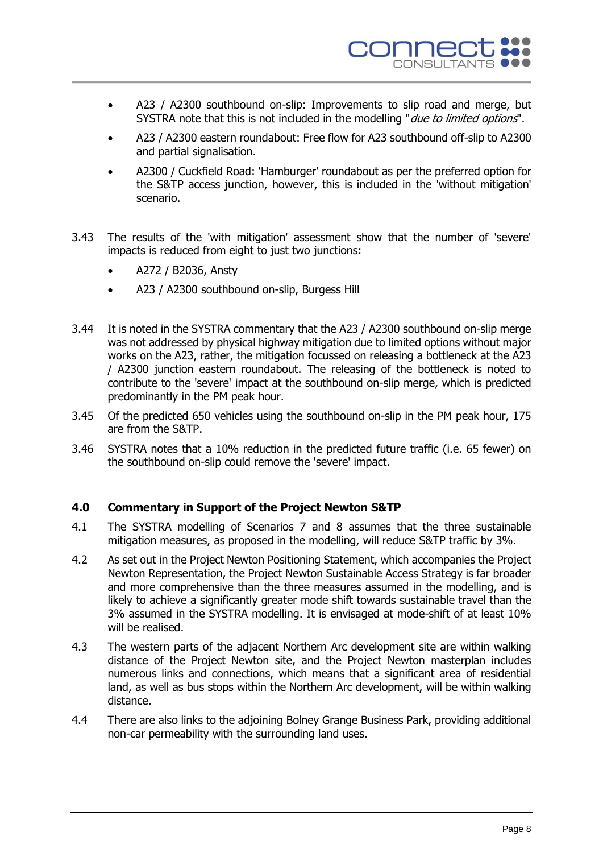

- A23 / A2300 southbound on-slip: Improvements to slip road and merge, but SYSTRA note that this is not included in the modelling "*due to limited options*".
- A23 / A2300 eastern roundabout: Free flow for A23 southbound off-slip to A2300 and partial signalisation.
- A2300 / Cuckfield Road: 'Hamburger' roundabout as per the preferred option for the S&TP access junction, however, this is included in the 'without mitigation' scenario.
- 3.43 The results of the 'with mitigation' assessment show that the number of 'severe' impacts is reduced from eight to just two junctions:
	- A272 / B2036, Ansty
	- A23 / A2300 southbound on-slip, Burgess Hill
- 3.44 It is noted in the SYSTRA commentary that the A23 / A2300 southbound on-slip merge was not addressed by physical highway mitigation due to limited options without major works on the A23, rather, the mitigation focussed on releasing a bottleneck at the A23 / A2300 junction eastern roundabout. The releasing of the bottleneck is noted to contribute to the 'severe' impact at the southbound on-slip merge, which is predicted predominantly in the PM peak hour.
- 3.45 Of the predicted 650 vehicles using the southbound on-slip in the PM peak hour, 175 are from the S&TP.
- 3.46 SYSTRA notes that a 10% reduction in the predicted future traffic (i.e. 65 fewer) on the southbound on-slip could remove the 'severe' impact.

#### **4.0 Commentary in Support of the Project Newton S&TP**

- 4.1 The SYSTRA modelling of Scenarios 7 and 8 assumes that the three sustainable mitigation measures, as proposed in the modelling, will reduce S&TP traffic by 3%.
- 4.2 As set out in the Project Newton Positioning Statement, which accompanies the Project Newton Representation, the Project Newton Sustainable Access Strategy is far broader and more comprehensive than the three measures assumed in the modelling, and is likely to achieve a significantly greater mode shift towards sustainable travel than the 3% assumed in the SYSTRA modelling. It is envisaged at mode-shift of at least 10% will be realised.
- 4.3 The western parts of the adjacent Northern Arc development site are within walking distance of the Project Newton site, and the Project Newton masterplan includes numerous links and connections, which means that a significant area of residential land, as well as bus stops within the Northern Arc development, will be within walking distance.
- 4.4 There are also links to the adjoining Bolney Grange Business Park, providing additional non-car permeability with the surrounding land uses.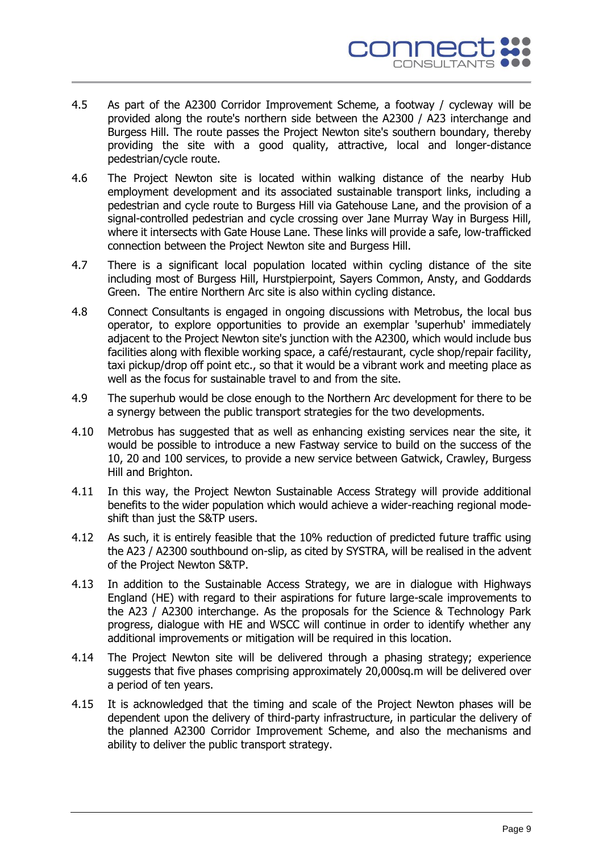

- 4.5 As part of the A2300 Corridor Improvement Scheme, a footway / cycleway will be provided along the route's northern side between the A2300 / A23 interchange and Burgess Hill. The route passes the Project Newton site's southern boundary, thereby providing the site with a good quality, attractive, local and longer-distance pedestrian/cycle route.
- 4.6 The Project Newton site is located within walking distance of the nearby Hub employment development and its associated sustainable transport links, including a pedestrian and cycle route to Burgess Hill via Gatehouse Lane, and the provision of a signal-controlled pedestrian and cycle crossing over Jane Murray Way in Burgess Hill, where it intersects with Gate House Lane. These links will provide a safe, low-trafficked connection between the Project Newton site and Burgess Hill.
- 4.7 There is a significant local population located within cycling distance of the site including most of Burgess Hill, Hurstpierpoint, Sayers Common, Ansty, and Goddards Green. The entire Northern Arc site is also within cycling distance.
- 4.8 Connect Consultants is engaged in ongoing discussions with Metrobus, the local bus operator, to explore opportunities to provide an exemplar 'superhub' immediately adjacent to the Project Newton site's junction with the A2300, which would include bus facilities along with flexible working space, a café/restaurant, cycle shop/repair facility, taxi pickup/drop off point etc., so that it would be a vibrant work and meeting place as well as the focus for sustainable travel to and from the site.
- 4.9 The superhub would be close enough to the Northern Arc development for there to be a synergy between the public transport strategies for the two developments.
- 4.10 Metrobus has suggested that as well as enhancing existing services near the site, it would be possible to introduce a new Fastway service to build on the success of the 10, 20 and 100 services, to provide a new service between Gatwick, Crawley, Burgess Hill and Brighton.
- 4.11 In this way, the Project Newton Sustainable Access Strategy will provide additional benefits to the wider population which would achieve a wider-reaching regional modeshift than just the S&TP users.
- 4.12 As such, it is entirely feasible that the 10% reduction of predicted future traffic using the A23 / A2300 southbound on-slip, as cited by SYSTRA, will be realised in the advent of the Project Newton S&TP.
- 4.13 In addition to the Sustainable Access Strategy, we are in dialogue with Highways England (HE) with regard to their aspirations for future large-scale improvements to the A23 / A2300 interchange. As the proposals for the Science & Technology Park progress, dialogue with HE and WSCC will continue in order to identify whether any additional improvements or mitigation will be required in this location.
- 4.14 The Project Newton site will be delivered through a phasing strategy; experience suggests that five phases comprising approximately 20,000sq.m will be delivered over a period of ten years.
- 4.15 It is acknowledged that the timing and scale of the Project Newton phases will be dependent upon the delivery of third-party infrastructure, in particular the delivery of the planned A2300 Corridor Improvement Scheme, and also the mechanisms and ability to deliver the public transport strategy.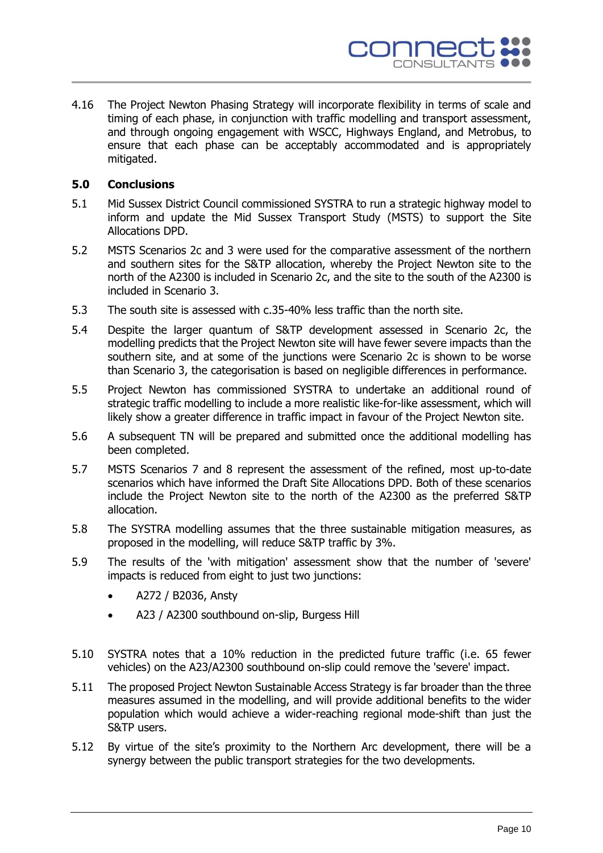

4.16 The Project Newton Phasing Strategy will incorporate flexibility in terms of scale and timing of each phase, in conjunction with traffic modelling and transport assessment, and through ongoing engagement with WSCC, Highways England, and Metrobus, to ensure that each phase can be acceptably accommodated and is appropriately mitigated.

#### **5.0 Conclusions**

- 5.1 Mid Sussex District Council commissioned SYSTRA to run a strategic highway model to inform and update the Mid Sussex Transport Study (MSTS) to support the Site Allocations DPD.
- 5.2 MSTS Scenarios 2c and 3 were used for the comparative assessment of the northern and southern sites for the S&TP allocation, whereby the Project Newton site to the north of the A2300 is included in Scenario 2c, and the site to the south of the A2300 is included in Scenario 3.
- 5.3 The south site is assessed with c.35-40% less traffic than the north site.
- 5.4 Despite the larger quantum of S&TP development assessed in Scenario 2c, the modelling predicts that the Project Newton site will have fewer severe impacts than the southern site, and at some of the junctions were Scenario 2c is shown to be worse than Scenario 3, the categorisation is based on negligible differences in performance.
- 5.5 Project Newton has commissioned SYSTRA to undertake an additional round of strategic traffic modelling to include a more realistic like-for-like assessment, which will likely show a greater difference in traffic impact in favour of the Project Newton site.
- 5.6 A subsequent TN will be prepared and submitted once the additional modelling has been completed.
- 5.7 MSTS Scenarios 7 and 8 represent the assessment of the refined, most up-to-date scenarios which have informed the Draft Site Allocations DPD. Both of these scenarios include the Project Newton site to the north of the A2300 as the preferred S&TP allocation.
- 5.8 The SYSTRA modelling assumes that the three sustainable mitigation measures, as proposed in the modelling, will reduce S&TP traffic by 3%.
- 5.9 The results of the 'with mitigation' assessment show that the number of 'severe' impacts is reduced from eight to just two junctions:
	- A272 / B2036, Ansty
	- A23 / A2300 southbound on-slip, Burgess Hill
- 5.10 SYSTRA notes that a 10% reduction in the predicted future traffic (i.e. 65 fewer vehicles) on the A23/A2300 southbound on-slip could remove the 'severe' impact.
- 5.11 The proposed Project Newton Sustainable Access Strategy is far broader than the three measures assumed in the modelling, and will provide additional benefits to the wider population which would achieve a wider-reaching regional mode-shift than just the S&TP users.
- 5.12 By virtue of the site's proximity to the Northern Arc development, there will be a synergy between the public transport strategies for the two developments.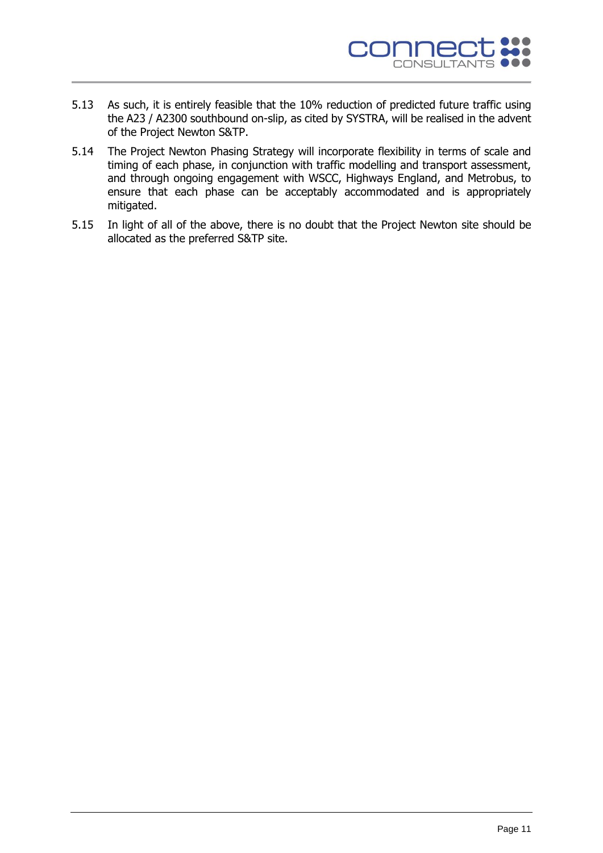

- 5.13 As such, it is entirely feasible that the 10% reduction of predicted future traffic using the A23 / A2300 southbound on-slip, as cited by SYSTRA, will be realised in the advent of the Project Newton S&TP.
- 5.14 The Project Newton Phasing Strategy will incorporate flexibility in terms of scale and timing of each phase, in conjunction with traffic modelling and transport assessment, and through ongoing engagement with WSCC, Highways England, and Metrobus, to ensure that each phase can be acceptably accommodated and is appropriately mitigated.
- 5.15 In light of all of the above, there is no doubt that the Project Newton site should be allocated as the preferred S&TP site.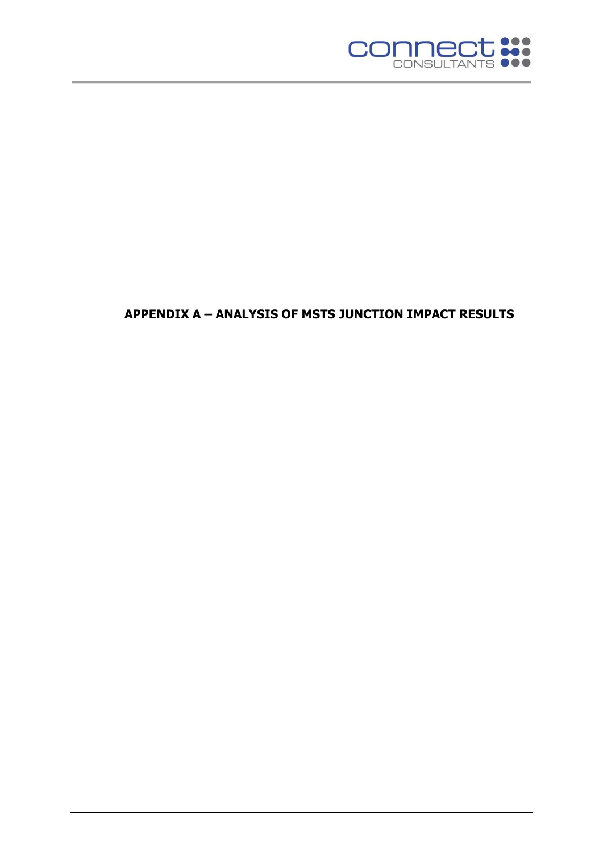

# **APPENDIX A – ANALYSIS OF MSTS JUNCTION IMPACT RESULTS**